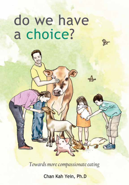# do we have a choice?

Towards more compassionate eating

Chan Kah Yein, Ph.D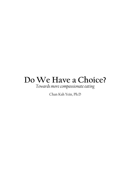## **Do We Have a Choice?**

*Towards more compassionate eating*

Chan Kah Yein, Ph.D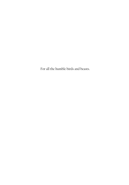For all the humble birds and beasts.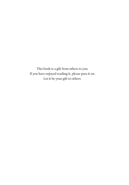This book is a gift from others to you. If you have enjoyed reading it, please pass it on. Let it be your gift to others.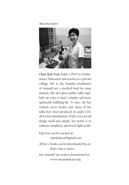*About the Author*



**Chan Kah Yein** holds a Ph.D in Mathematics Education and teaches in a private college. She is the founder-coordinator of AnimalCare, a medical fund for stray animals. She also gives public talks regularly on ways to lead a simpler and more spiritually fulfilling life. To date, she has written seven books, and many of her talks have been produced on audio CDs, all for free distribution. With a love for all things small and simple, her motto is to embrace simplicity and travel light in life.

Kah Yein can be reached at chankahyein@gmail.com All her e-books can be downloaded free at http://tiny.cc/paws

Her AnimalCare work is documented in www.myanimalcare.org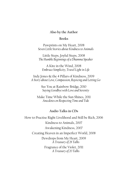#### **Also by the Author**

#### **Books**

Pawprints on My Heart, 2008 *Seven Little Stories about Kindness to Animals*

Little Steps, Joyful Steps, 2008 *The Humble Beginnings of a Dhamma Speaker*

A Kite in the Wind, 2008 *Embrace Simplicity, Travel Light in Life*

Indy Jones & the 4 Pillars of Kindness, 2009 *A Story about Love, Compassion, Rejoicing and Letting Go*

> See You at Rainbow Bridge*,* 2010 *Saying Goodbye with Love and Serenity*

Make Time While the Sun Shines, 2011 *Anecdotes on Respecting Time and Tide*

#### **Audio Talks in CDs**

How to Practise Right Livelihood and Still be Rich, 2006 Kindness to Animals, 2007 Awakening Kindness, 2007 Creating Heaven in an Imperfect World, 2008 Dewdrops from My Heart, 2009 *A Treasury of 28 Talks* Fragrance of the Violet, 2011 *A Treasury of 20 Talks*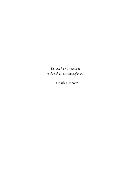*The love for all creatures is the noblest attribute of man.*

— Charles Darwin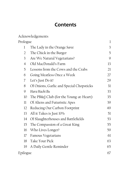### **Contents**

|                | Acknowledgements                         |              |
|----------------|------------------------------------------|--------------|
| Prologue       |                                          | $\mathbf{l}$ |
| 1              | The Lady in the Orange Saree             | 3            |
| $\overline{2}$ | The Chick in the Burger                  | 5            |
| 3              | Are We Natural Vegetarians?              | 9            |
| $\overline{4}$ | Old MacDonald's Farm                     | 13           |
| 5              | Lessons from the Cows and the Crabs      | 21           |
| 6              | Going Meatless Once a Week               | 27           |
| 7              | Let's Just Do it!                        | 29           |
| 8              | Of Onions, Garlic and Special Chopsticks | 31           |
| 9              | Hara Hachi Bu                            | 33           |
| 10             | The PB&J Club (for the Young-at-Heart)   | 35           |
| $\mathbf{1}$   | Of Aliens and Futuristic Apes            | 39           |
| 12             | Reducing Our Carbon Footprint            | 49           |
| 13             | All it Takes is Just 10%                 | 51           |
| 14             | Of Slaughterhouses and Battlefields      | 53           |
| 15             | The Compassion of a Great King           | 55           |
| 16             | Who Lives Longer?                        | 59           |
| 17             | Famous Vegetarians                       | 61           |
| 18             | Take Your Pick                           | 63           |
| 19             | A Daily Gentle Reminder                  | 65           |
| Epilogue       |                                          | 67           |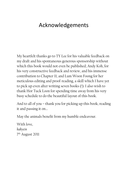### Acknowledgements

My heartfelt thanks go to TY Lee for his valuable feedback on my draft and his spontaneous generous sponsorship without which this book would not even be published; Andy Koh, for his very constructive feedback and review, and his immense contribution to Chapter 11; and Lum Woon Foong for her meticulous editing and proof-reading, a skill which I have yet to pick up even after writing seven books (!). I also wish to thank Hor Tuck Loon for spending time away from his very busy schedule to do the beautiful layout of this book.

And to all of you – thank you for picking up this book, reading it and passing it on…

May the animals benefit from my humble endeavour.

With love, *kahyein* 7th August 2011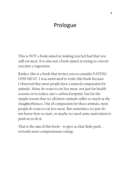### Prologue

This is NOT a book aimed at making you feel bad that you still eat meat. It is also not a book aimed at trying to convert you into a vegetarian.

Rather, this is a book that invites you to consider EATING LESS MEAT. I was motivated to write this book because I observed that most people have a natural compassion for animals. Many do want to eat less meat, not just for health reasons or to reduce one's carbon footprint, but for the simple reason that we all know animals suffer so much at the slaughterhouses. Out of compassion for these animals, most people *do* want to eat less meat. But sometimes we just do not know how to start, or maybe we need some motivation to push us to do it.

That is the aim of this book – to give us that little push… towards more compassionate eating.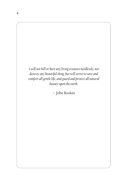

– John Ruskin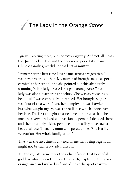## The Lady in the Orange *Saree* 1

I grew up eating meat, but not extravagantly. And not all meats too. Just chicken, fish and the occasional pork. Like many Chinese families, we did not eat beef or mutton.

I remember the first time I ever came across a vegetarian. I was seven years old then. My mum had brought me to a sports carnival at her school, and she pointed out this absolutely stunning Indian lady dressed in a pale orange *saree.* This lady was also a teacher in the school. She was so ravishingly beautiful; I was completely entranced. Her hourglass figure was "out of this world", and her complexion was flawless, but what caught my eye was the radiance which shone from her face. The first thought that occurred to me was that she must be a very kind and compassionate person. I decided there and then that only a kind person could possibly have such a beautiful face. Then, my mum whispered to me, "She is a life vegetarian. Her whole family is, too."

That was the first time it dawned on me that being vegetarian might not be such a bad idea, after all.

Till today, I still remember the radiant face of that beautiful goddess who descended upon this Earth, resplendent in a pale orange *saree,* and walked in front of me at the sports carnival.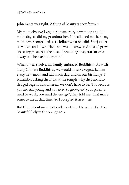John Keats was right: A thing of beauty *is* a joy forever.

My mum observed vegetarianism every new moon and full moon day, as did my grandmother. Like all good mothers, my mum never compelled us to follow what she did. She just let us watch, and if we asked, she would answer. And so, I grew up eating meat, but the idea of becoming a vegetarian was always at the back of my mind.

When I was twelve, my family embraced Buddhism. As with many Chinese Buddhists, we would observe vegetarianism every new moon and full moon day, and on our birthdays. I remember asking the nuns at the temple why they are fullfledged vegetarians whereas we don't have to be. "It's because you are still young and you need to grow, and your parents need to work, you need the energy", they told me. That made sense to me at that time. So I accepted it as it was.

But throughout my childhood I continued to remember the beautiful lady in the orange *saree.*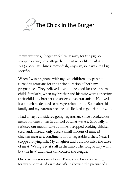

In my twenties, I began to feel very sorry for the pig, so I stopped eating pork altogether. I had never liked *Bak Kut Teh* (a popular Chinese pork dish) anyway, so it wasn't a big sacrifice.

When I was pregnant with my two children, my parents turned vegetarians for the entire duration of both my pregnancies. They believed it would be good for the unborn child. Similarly, when my brother and his wife were expecting their child, my brother too observed vegetarianism. He liked it so much he decided to be vegetarian for life. Soon after, his family and my parents became full-fledged vegetarians as well.

I had always considered going vegetarian. Since I cooked our meals at home, I was in control of what we ate. Gradually, I reduced our meat intake at home. I stopped cooking chicken stew and, instead, only used a small amount of minced chicken meat as a condiment in our vegetable dishes. Next, I stopped buying fish. My daughter and I did not miss the taste of meat. We figured it's all in the mind. The tongue may want, but the head and heart can control the tongue.

One day, my son saw a PowerPoint slide I was preparing for my talk on *Kindness to Animals*. It showed the picture of a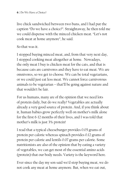live chick sandwiched between two buns, and I had put the caption "Do we have a choice?". Straightaway, he then told me we could dispense with the minced chicken meat. "Let's not cook meat at home anymore", he said.

#### So that was it.

I stopped buying minced meat, and, from that very next day, I stopped cooking meat altogether at home. Nowadays, the only meat I buy is chicken meat for the cats, and that is because cats are carnivores and they have to eat meat. We are omnivores, so we get to choose. We can be total vegetarians, or we could just eat less meat. We cannot force carnivorous animals to be vegetarian – that'll be going against nature and that wouldn't be fair.

For us humans, many are of the opinion that we need lots of protein daily, but do we really? Vegetables are actually already a very good source of protein. And, if you think about it, human babies grow perfectly well on mother's milk alone for the first 6-12 months of their lives, and I was told that mother's milk is just 3% protein!

I read that a typical cheeseburger provides 0.05 grams of protein per calorie whereas spinach provides 0.12 grams of protein per calorie and lentils 0.07 grams per calorie. Some nutritionists are also of the opinion that by eating a variety of vegetables, we can get most of the essential amino acids (protein) that our body needs. Variety is the keyword here.

Ever since the day my son said we'd stop buying meat, we do not cook any meat at home anymore. But, when we eat out,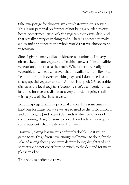take away or go for dinners, we eat whatever that is served. This is our personal preference of not being a burden to our hosts. Sometimes I just pick the vegetables in every dish, and that's really a very easy thing to do. There is no need to make a fuss and announce to the whole world that we choose to be vegetarian.

Since I give so many talks on kindness to animals, I'm very often asked if I am vegetarian. To this I answer, "I'm a flexible vegetarian", and that is the truth. When there are really no vegetables, I will eat whatever that is available. I am flexible. I eat out for lunch every working day, and I don't need to go to any special vegetarian stall. All I do is to pick 2-3 vegetable dishes at the local *chap-fan* ("economy rice", a convenient local fast food for rice and dishes at a very affordable price) stall with a plate of rice. It is so easy.

Becoming vegetarian is a personal choice. It is sometimes a hard one for many because we are so used to the taste of meat, and our tongue (and brain!) demands it, due to decades of conditioning. Also, for some people, their bodies may require some nutrients that are derived from meat.

However, eating less meat is definitely doable. So if you're game to try this, if you have enough willpower to do it, for the sake of saving those poor animals from being slaughtered and so that we do not contribute so much to the demand for meat, please read on…

This book is dedicated to you.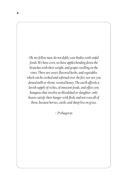*Oh, my fellow men, do not defile your bodies with sinful foods. We have corn, we have apples bending down the branches with their weight, and grapes swelling on the vines. There are sweet-flavored herbs, and vegetables which can be cooked and softened over the fire, nor are you denied milk or thyme-scented honey. The earth affords a lavish supply of riches, of innocent foods, and offers you banquets that involve no bloodshed or slaughter; only beasts satisfy their hunger with flesh, and not even all of those, because horses, cattle, and sheep live on grass.* 

*– Pythagoras*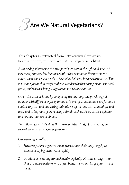## Are We Natural Vegetarians? 3

This chapter is extracted from http://www.alternativehealthzine.com/html/are\_we\_natural\_vegetarians.html

*A cat or dog salivates with anticipated pleasure at the sight and smell of raw meat, but very few humans exhibit this behaviour. For most meat eaters, their chosen cut needs to be cooked before it becomes attractive. This*  is just one factor that might make us wonder whether eating meat is natural *for us, and whether being a vegetarian is a realistic option.*

*Other clues can be found by comparing the anatomy and physiology of humans with different types of animals. It emerges that humans are far more similar to fruit- and nut-eating animals – vegetarians such as monkeys and apes, and to leaf- and grass- eating animals such as sheep, cattle, elephants and koalas, than to carnivores.*

*The following two lists show the characteristics, first, of carnivores, and then of non-carnivores, or vegetarians.*

*Carnivores generally:*

- *1. Have very short digestive tracts (three times their body length) to excrete decaying meat waste rapidly.*
- *2. Produce very strong stomach acid typically 20 times stronger than that of a non-carnivore – to digest bone, sinews and large quantities of meat.*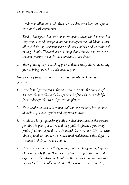#### **10** | Do We Have a Choice?

- *3. Produce small amounts of saliva because digestion does not begin in the mouth with carnivores.*
- *4. Tend to have jaws that can only move up and down, which means that they cannot grind their food and can hardly chew at all. Meat is torn off with their long, sharp incisors and their canines, and is swallowed in large chunks. The teeth are also shaped and angled to move with a shearing motion to cut through bone and tough sinews.*
- *5. Show great agility in catching prey, and have sharp claws and strong jaws to bring down, kill and consume prey.*

*However, vegetarians – non-carnivorous animals and humans – generally:*

- *1. Have long digestive tracts that are about 12 times the body length. The great length allows the longer period of time that is needed for fruit and vegetables to be digested completely.*
- *2. Have weak stomach acid, which is all that is necessary for the slow digestion of grasses, grains and vegetable matter.*
- *3. Produce a larger quantity of saliva, which also contains the enzyme ptyalin. The plentiful saliva and the ptyalin begin the digestion of grains, fruit and vegetables in the mouth. Carnivores neither eat these kinds of food nor do they chew their food, which means that digestive enzymes in their saliva are absent.*
- *4. Have jaws that move with a grinding motion. This grinding together of the relatively flat teeth reduces the particle size of the food and exposes it to the saliva and ptyalin in the mouth. Human canine and incisor teeth are small compared to those of a carnivore and are,*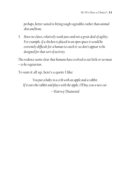*perhaps, better suited to biting tough vegetables rather than animal skin and bone.*

*5. Have no claws, relatively weak jaws and not a great deal of agility. For example, if a chicken is placed in an open space it would be extremely difficult for a human to catch it; we don't appear to be designed for that sort of activity.*

*The evidence seems clear that humans have evolved to eat little or no meat – to be vegetarian.*

To sum it all up, here's a quote I like:

*You put a baby in a crib with an apple and a rabbit. If it eats the rabbit and plays with the apple, I'll buy you a new car.*

– Harvey Diamond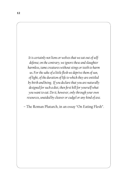*It is certainly not lions or wolves that we eat out of selfdefense; on the contrary, we ignore these and slaughter harmless, tame creatures without stings or teeth to harm us. For the sake of a little flesh we deprive them of sun, of light, of the duration of life to which they are entitled by birth and being. If you declare that you are naturally designed for such a diet, then first kill for yourself what you want to eat. Do it, however, only through your own resources, unaided by cleaver or cudgel or any kind of axe.* 

– The Roman Plutarch, in an essay "On Eating Flesh".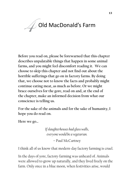## Old MacDonald's Farm 4

**Before you read on, please be forewarned that this chapter describes unpalatable things that happen in some animal farms, and you might feel discomfort reading it. We can choose to skip this chapter and not find out about the horrible sufferings that go on in factory farms. By doing that, we choose not to know the facts and probably might continue eating meat, as much as before. Or we might brace ourselves for the gore, read on and, at the end of the chapter, make an informed decision from what our conscience is telling us.**

**For the sake of the animals and for the sake of humanity, I hope you do read on.**

**Here we go…**

*If slaughterhouses had glass walls, everyone would be a vegetarian.*

– Paul McCartney

I think all of us know that modern-day factory farming is cruel.

In the days of yore, factory-farming was unheard of. Animals were allowed to grow up naturally, and they lived freely on the farm. Only once in a blue moon, when festivities arise, would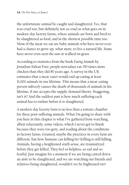the unfortunate animal be caught and slaughtered. Yes, that was cruel too, but definitely not as cruel as what goes on in modern-day factory farms, where animals are born and bred to be slaughtered as food, and in the shortest possible time too. Most of the meat we eat are baby animals who have never even had a chance to grow up, what more, to live a natural life. Some have never even seen the sun or walked on grass.

According to statistics from the book *Eating Animals* by Jonathan Safran Foer, people nowadays eat 150 times more chicken than they did 80 years ago. A survey in the UK estimates that a meat-eater would end up eating at least 11,000 animals in one lifetime. This means that a meat-eating person *indirectly* causes the death of thousands of animals in his lifetime, if one accepts the supply-demand theory. Staggering, isn't it? And the saddest part is how much suffering each animal has to endure before it is slaughtered.

A modern-day factory farm is no less than a torture chamber for these poor suffering animals. What I'm going to share with you here in this chapter is what I've gathered from watching, albeit reluctantly, some videos, which I never got to finish because they were too gory, and reading about the conditions in factory farms. Granted, maybe the practices in every farm are different, but how humane can killing be? Killing is still killing. Animals, having a heightened sixth sense, are traumatized before they get killed. They feel so helpless, so sad and so fearful. Just imagine for a moment if we are being carted down an aisle to be slaughtered, and we are watching our friends and relatives being slaughtered, wouldn't we be frightened too?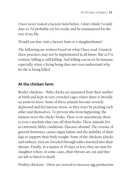I have never visited a factory farm before. I don't think I would dare to. I'd probably cry for weeks and be traumatized for the rest of my life.

Would *you* dare visit a factory farm or a slaughterhouse?

The following are written based on what I have read. Granted, these practices may not be implemented in all farms. But as I've written, killing is still killing. And killing can never be humane, especially when a living being does not even understand why he/she is being killed.

#### **At the chicken farm**

Broiler chickens – Baby chicks are separated from their mother at birth and kept in very crowded cages where there is literally no room to move. Some of these animals become severely depressed and feel intense stress, so they react by pecking each other and themselves. To prevent this from happening, the farmers sever the chicks' beaks. There is no anaesthesia; there is even a machine that cuts off their beaks. These animals live in extremely filthy conditions. Diseases abound. The overuse of growth hormones causes organ failure and the inability of their legs to support their body weight. Some of the chickens (ducks and turkeys, too) are forcefed through tubes inserted into their throats. Finally, in a matter of 45 days or less, they are sent for slaughter where, in some cases, their throats are cut and they are left to bleed to death.

Poultry chickens – Hens are starved to increase egg production.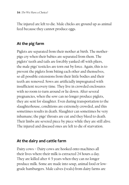The injured are left to die. Male chicks are ground up as animal feed because they cannot produce eggs.

#### **At the pig farm**

Piglets are separated from their mother at birth. The motherpigs cry when their babies are separated from them. The piglets' teeth and tails are forcibly yanked off with pliers, the male pigs' testicles are torn out by force. Again, this is to prevent the piglets from biting each other and themselves, so all possible extensions from their little bodies and their teeth are removed. Sows are artificially impregnated with insufficient recovery time. They live in crowded enclosures with no room to turn around or lie down. After several pregnancies, when the sow can no longer produce piglets, they are sent for slaughter. Even during transportation to the slaughterhouse, conditions are extremely crowded, and this sometimes results in death. Slaughter can sometimes be very inhumane; the pigs' throats are cut and they bleed to death. Their limbs are severed piece by piece while they are still alive. The injured and diseased ones are left to die of starvation.

#### **At the dairy and cattle farm**

Dairy cows – Dairy cows are hooked onto machines all their lives where their milk is extracted 24 hours a day. They are killed after 4-5 years when they can no longer produce milk. Some are made into soup, animal food or lowgrade hamburgers. Male calves (veals) from dairy farms are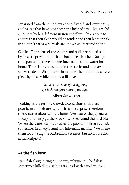separated from their mothers at one-day old and kept in tiny enclosures that have never seen the light of day. They are fed a liquid which is deficient in iron and fibre. This is done to ensure that their flesh would be tender and their leather pale in colour. That is why veals are known as "tortured calves".

Cattle – The horns of these cows and bulls are pulled out by force to prevent them from butting each other. During transportation, there is sometimes no food and water for hours. There is overcrowding in the trucks and old cows starve to death. Slaughter is inhumane; their limbs are severed piece by piece while they are still alive.

> *Think occasionally of the suffering of which you spare yourself the sight.*

> > – Albert Schweitzer

Looking at the terribly crowded conditions that these poor farm animals are kept in, it is no surprise, therefore, that diseases abound in the farms. We hear of the Japanese Encephalitis in pigs, the Mad Cow Disease and the Bird Flu. When there are such outbreaks, the poor animals are culled, sometimes in a very brutal and inhumane manner. We blame them for causing the outbreak of diseases, but aren't we the actual culprits?

#### **At the fish farm**

Even fish slaughtering can be very inhumane. The fish is sometimes killed by crushing its head with a mallet. Even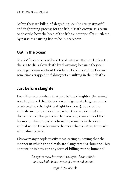before they are killed, "fish grading" can be a very stressful and frightening process for the fish. "Death crown" is a term to describe how the head of the fish is intentionally mutilated by parasites causing fish to be in deep pain.

#### **Out in the ocean**

Sharks' fins are severed and the sharks are thrown back into the sea to die a slow death by drowning, because they can no longer swim without their fins. Dolphins and turtles are sometimes trapped in fishing nets resulting in their deaths.

#### **Just before slaughter**

I read from somewhere that just before slaughter, the animal is so frightened that its body would generate large amounts of adrenaline (the fight-or-flight hormone). Some of the animals are not even dead yet when they are skinned and dismembered; this gives rise to even larger amounts of the hormone. This excessive adrenaline remains in the dead animal which then becomes the meat that is eaten. Excessive adrenaline is toxic.

I know many people justify meat-eating by saying that the manner in which the animals are slaughtered is "humane". My contention is how can any form of killing ever be humane?

> *Recognize meat for what it really is: the antibioticand pesticide-laden corpse of a tortured animal.*

> > – Ingrid Newkirk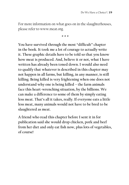For more information on what goes on in the slaughterhouses, please refer to www.meat.org.

\* \* \*

**You have survived through the most "difficult" chapter in the book. It took me a lot of courage to actually write it. These graphic details have to be told so that you know how meat is produced. And, believe it or not, what I have written has already been toned down. I would also need to qualify that whatever is described in this chapter may not happen in all farms, but killing, in any manner, is still killing. Being killed is very frightening when one does not understand why one is being killed – the farm animals face this heart-wrenching situation, by the billions. We can make a difference to some of them by simply eating less meat. That's all it takes, really. If everyone eats a little less meat, many animals would not have to be bred to be slaughtered as meat.** 

**A friend who read this chapter before I sent it in for publication said she would drop chicken, pork and beef from her diet and only eat fish now, plus lots of vegetables, of course!**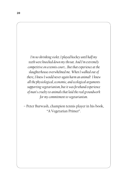*I'm no shrinking violet. I played hockey until half my teeth were knocked down my throat. And I'm extremely competitive on a tennis court… But that experience at the slaughterhouse overwhelmed me. When I walked out of there, I knew I would never again harm an animal! I knew all the physiological, economic, and ecological arguments supporting vegetarianism, but it was firsthand experience of man's cruelty to animals that laid the real groundwork for my commitment to vegetarianism.*

– Peter Burwash, champion tennis player in his book, "A Vegetarian Primer".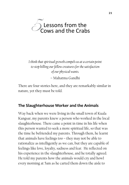

*I think that spiritual growth compels us at a certain point to stop killing our fellow creatures for the satisfaction of our physical wants.*  – Mahatma Gandhi

There are four stories here, and they are remarkably similar in nature, yet they must be told.

#### **The Slaughterhouse Worker and the Animals**

Way back when we were living in the small town of Kuala Kangsar, my parents knew a person who worked in the local slaughterhouse. There came a point in time in his life when this person wanted to seek a more spiritual life, so that was the time he befriended my parents. Through them, he learnt that animals have feelings too – they may not be able to rationalize as intelligently as we can, but they are capable of feelings like love, loyalty, sadness and fear. He reflected on his experience in the slaughterhouse, and he totally agreed. He told my parents how the animals would cry and howl every morning at 5am as he carted them down the aisle to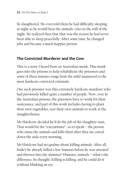be slaughtered. He even told them he had difficulty sleeping at night as he would hear the animals' cries in the still of the night. He realized then that that was the reason he had never been able to sleep peacefully. After some time, he changed jobs and became a much happier person.

#### **The Convicted Murderer and the Cow**

This is a story I heard from an Australian monk. This monk goes into the prisons to help rehabilitate the prisoners and some of these inmates range from the mild-mannered to the most hardcore convicted criminals.

One such prisoner was this extremely hardcore murderer who had previously killed quite a number of people. Now, over in the Australian prisons, the prisoners have to work for their sustenance, and part of this work includes having to plant their own vegetables, rear their own animals or work at the slaughterhouse.

Mr Hardcore decided he'd do the job of the slaughter-man. That would be the "executioner", so to speak – the person who stuns the animals and kills them after they are carted down the aisle every morning.

Mr Hardcore had no qualms about killing animals. After all, hadn't he already killed a few humans before he was arrested and thrown into the slammer? Humans, animals – what's the difference, he thought. Killing is killing, and he could do it without blinking an eye.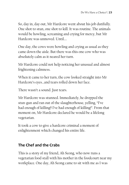So, day in, day out, Mr Hardcore went about his job dutifully. One shot to stun, one shot to kill. It was routine. The animals would be howling, screaming and crying for mercy, but Mr Hardcore was unmoved. Until….

One day, the cows were howling and crying as usual as they came down the aisle. But there was this one cow who was absolutely calm as it neared her turn.

Mr Hardcore could not help noticing her unusual and almost frightening calmness.

When it came to her turn, the cow looked straight into Mr Hardcore's eyes…and tears rolled down her face.

There wasn't a sound. Just tears.

Mr Hardcore was stunned. Immediately, he dropped the stun-gun and ran out of the slaughterhouse, yelling, "I've had enough of killing!! I've had enough of killing!". From that moment on, Mr Hardcore declared he would be a lifelong vegetarian.

It took a cow to give a hardcore criminal a moment of enlightenment which changed his entire life.

#### **The Chef and the Crabs**

This is a story of my friend, Ah Seong, who now runs a vegetarian food stall with his mother in the foodcourt near my workplace. One day, Ah Seong came to sit with me as I was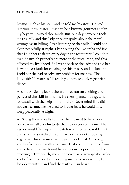having lunch at his stall, and he told me his story. He said, "Do you know, sister…I used to be a bigtime gourmet chef in my heyday. I earned thousands. But, one day, someone took me to a talk and this lady-speaker spoke about the moral wrongness in killing. After listening to that talk, I could not sleep peacefully at night. I kept seeing the live crabs and fish that I clobber to death every day in the restaurant. I couldn't even do my job properly anymore at the restaurant, and this affected my livelihood. So I went back to the lady and told her it was all *her* fault for causing me this misery and ill-fortune. I told her she had to solve my problem for me now. The lady said: No worries, I'll teach you how to cook vegetarian dishes."

And so, Ah Seong learnt the art of vegetarian cooking and perfected the skill in no time. He then opened his vegetarian food stall with the help of his mother. Never mind if he did not earn as much as he used to, but at least he could now sleep peacefully at night.

Ah Seong then proudly told me that he used to have very bad eczema all over his body that no doctor could cure. The rashes would flare up and the itch would be unbearable. But, ever since he switched his culinary skills over to cooking vegetarian, his eczema disappeared! I looked at Ah Seong, and his face shone with a radiance that could only come from a kind heart. He had found happiness in his job now and is enjoying better health, and all it took was a lady-speaker who spoke from her heart and a young man who was willing to look deep within and find the truths in *his* heart!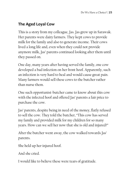#### **The Aged Loyal Cow**

This is a story from my colleague, Jas. Jas grew up in Sarawak. Her parents were dairy farmers. They kept cows to provide milk for the family and also to generate income. Their cows lived a long life and, even when they could not provide anymore milk, Jas' parents continued looking after them until they passed on.

One day, many years after having served the family, one cow developed a bad infection on her front hoof. Apparently, such an infection is very hard to heal and would cause great pain. Many farmers would sell these cows to the butcher rather than nurse them.

One such opportunist-butcher came to know about this cow with the infected hoof and offered Jas' parents a fair price to purchase the cow.

Jas' parents, despite being in need of the money, flatly refused to sell the cow. They told the butcher, "This cow has served my family and provided milk for my children for so many years. How can we sell her now that she is old and injured?"

After the butcher went away, the cow walked towards Jas' parents.

She held up her injured hoof.

And she cried.

I would like to believe these were tears of gratitude.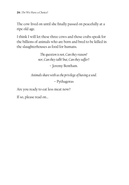The cow lived on until she finally passed on peacefully at a ripe old age.

I think I will let these three cows and those crabs speak for the billions of animals who are born and bred to be killed in the slaughterhouses as food for humans.

> *The question is not, Can they reason? nor, Can they talk? but, Can they suffer*? – Jeremy Bentham.

*Animals share with us the privilege of having a soul.* **–** Pythagoras

Are you ready to eat less meat now?

If so, please read on…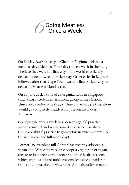### Going Meatless Once a Week 6

On 12 May 2009, the city of Ghent in Belgium declared a meatless day (Meatless Thursday) once a week in their city. I believe they were the first city in the world to officially declare a once-a-week meatless day. Other cities in Belgium followed after that. Cape Town was the first African city to declare a Meatless Monday too.

On 30 June 2011, a total of 29 organizations in Singapore (including a student environment group in the National University) endorsed a Veggie Thursday where participations would go completely meatless for just one meal every Thursday.

Going veggie once a week has been an age-old practice amongst many Hindus and some Christians. It is also a Chinese cultural practice to go vegetarian twice a month (on the new moon and full moon day).

Former US President Bill Clinton has recently adopted a vegan diet. While many people adopt a vegetarian or vegan diet to reduce their carbon footprint or for health reasons, which are all valid and noble reasons, let's also consider it from the compassionate viewpoint. Animals suffer so much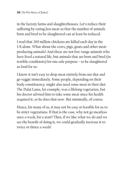in the factory farms and slaughterhouses. Let's reduce their suffering by eating less meat so that the number of animals born and bred to be slaughtered can at least be reduced.

I read that 269 million chickens are killed each day in the US alone. What about the cows, pigs, goats and other meatproducing animals? And these are not free-range animals who have lived a natural life, but animals that are born and bred (in terrible conditions) for one sole purpose – to be slaughtered as food for us.

I know it isn't easy to drop meat entirely from our diet and go veggie immediately. Some people, depending on their body constituency, might also need some meat in their diet. The Dalai Lama, for example, was a lifelong vegetarian, but his doctor advised him to take some meat since his health required it, so he does that now. But minimally, of course.

Hence, for many of us, it may not be easy or feasible for us to be strict vegetarians. If that is the case, why not go meatless once a week, for a start? Then, if we like what we do and we see the benefit of doing it, we could gradually increase it to twice or thrice a week!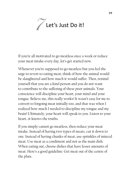

If you're all motivated to go meatless once a week or reduce your meat intake every day, let's get started now.

Whenever you're supposed to go meatless but you feel the urge to revert to eating meat, think of how the animal would be slaughtered and how much it would suffer. Then, remind yourself that you are a kind person and you do not want to contribute to the suffering of these poor animals. Your conscience will discipline your heart, your mind and your tongue. Believe me, this really works! It wasn't easy for me to convert to forgoing meat initially too, and that was when I realized how much I needed to discipline my tongue and my brain! Ultimately, your heart will speak to you. Listen to your heart…it knows the truths.

If you simply cannot go meatless, then reduce your meat intake. Instead of having two types of meats, cut it down to one. Instead of having chunks of meat, use sprinkles of minced meat. Use meat as a condiment and not as the main dish. When eating out, choose dishes that have lesser amounts of meat. Here's a good guideline: Get meat out of the centre of the plate.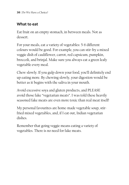### **What to eat**

Eat fruit on an empty stomach, in between meals. Not as dessert.

For your meals, eat a variety of vegetables: 5-6 different colours would be good. For example, you can stir-fry a mixed veggie dish of cauliflower, carrot, red capsicum, pumpkin, broccoli, and brinjal. Make sure you always eat a green leafy vegetable every meal.

Chew slowly. If you gulp down your food, you'll definitely end up eating more. By chewing slowly, your digestion would be better as it begins with the saliva in your mouth.

Avoid excessive soya and gluten products, and PLEASE avoid those fake "vegetarian meats". I was told these heavily seasoned fake meats are even more toxic than real meat itself!

My personal favourites are home-made vegetable soup, stirfried mixed vegetables, and, if I eat out, Indian vegetarian dishes.

Remember that going veggie means eating a variety of vegetables. There is no need for fake meats.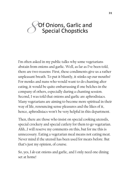### Of Onions, Garlic and Special Chopsticks 8

I'm often asked in my public talks why some vegetarians abstain from onions and garlic. Well, as far as I've been told, there are two reasons: First, these condiments give us a rather unpleasant breath. To put it bluntly, it stinks up our mouths! For monks and nuns who would want to do chanting after eating, it would be quite embarrassing if one belches in the company of others, especially during a chanting session. Second, I was told that onions and garlic are aphrodisiacs. Many vegetarians are aiming to become more spiritual in their way of life, renouncing sense pleasures and the likes of it, hence, aphrodisiacs won't be very helpful in this department.

Then, there are those who insist on special cooking utensils, special crockery and special cutlery for them to go vegetarian. Ahh…I will reserve my comments on this, but for me this is unnecessary. Eating a vegetarian meal means not eating meat. Never mind if the utensil has been used for meats before. But that's just my opinion, of course.

So, yes, I *do* eat onions and garlic, and I only need one dining set at home!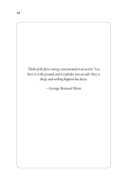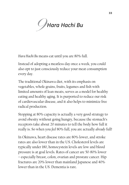

*Hara Hachi Bu* means eat until you are 80% full.

Instead of adopting a meatless day once a week, you could also opt to just consciously reduce your meat consumption every day.

The traditional Okinawa diet, with its emphasis on vegetables, whole grains, fruits, legumes and fish with limited amounts of lean meats, serves as a model for healthy eating and healthy aging. It is purported to reduce our risk of cardiovascular disease, and it also helps to minimize free radical production.

Stopping at 80% capacity is actually a very good strategy to avoid obesity without going hungry, because the stomach's receptors take about 20 minutes to tell the body how full it really is. So when you *feel* 80% full, you are actually *already* full!

In Okinawa, heart disease rates are 80% lower, and stroke rates are also lower than in the US. Cholesterol levels are typically under 180, homocystein levels are low and blood pressure is at goal levels. Rates of cancer are 50-80% lower – especially breast, colon, ovarian and prostate cancer. Hip fractures are 20% lower than mainland Japanese and 40% lower than in the US. Dementia is rare.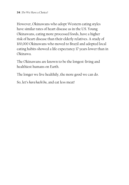However, Okinawans who adopt Western eating styles have similar rates of heart disease as in the US. Young Okinawans, eating more processed foods, have a higher risk of heart disease than their elderly relatives. A study of 100,000 Okinawans who moved to Brazil and adopted local eating habits showed a life expectancy 17 years lower than in Okinawa.

The Okinawans are known to be the longest-living and healthiest humans on Earth.

The longer we live healthily, the more good we can do.

So, let's *hara hachi bu*, and eat less meat!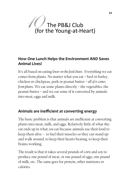# The PB&J Club The PB&J Club<br>(for the Young-at-Heart)

### **How One Lunch Helps the Environment AND Saves Animal Lives!**

It's all based on eating *lower on the food chain*. Everything we eat comes from plants. No matter what you eat – beef or barley, chicken or chickpeas, pork or peanut butter – *all of it comes from plants*. We eat some plants directly – the vegetables, the peanut butter – and we eat some of it converted by animals into meat, eggs and milk.

### **Animals are inefficient at converting energy**

The basic problem is that animals are inefficient at converting plants into meat, milk, and eggs. Relatively little of what *they*  eat ends up in what *you* eat because animals use their food to keep them alive – to fuel their muscles so they can stand up and walk around, to keep their hearts beating, to keep their brains working.

The result is that it takes several pounds of corn and soy to produce one pound of meat, or one pound of eggs, one pound of milk, etc. The same goes for protein, other nutrients or calories.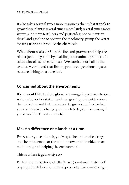It also takes several times more resources than what it took to grow those plants: several times more land; several times more water; a lot more fertilizers and pesticides; not to mention diesel and gasoline to operate the machinery, pump the water for irrigation and produce the chemicals.

What about seafood? Skip the fish and prawns and help the planet just like you do by avoiding other animal products. It takes a lot of fuel to catch fish. We catch about half of the seafood we eat, and that fishing produces greenhouse gases because fishing boats use fuel.

### **Concerned about the environment?**

If you would like to slow global warming, do your part to save water, slow deforestation and overgrazing, and cut back on the pesticides and fertilizers used to grow your food, what you could do is to change your lunch today (or tomorrow, if you're reading this after lunch).

### **Make a difference one lunch at a time**

Every time you eat lunch, you've got the option of cutting out the middleman, or the middle-cow, middle-chicken or middle-pig, and helping the environment.

This is where it gets *really easy*.

Pack a peanut butter and jelly (PB&J) sandwich instead of buying a lunch based on animal products, like a meatburger,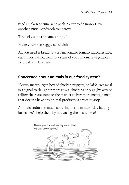fried chicken or tuna sandwich. Want to do more? Have another PB&J sandwich tomorrow.

Tired of eating the same thing….?

Make your own veggie sandwich!

All you need is bread, butter/mayonaise/tomato sauce, lettuce, cucumber, carrot, tomato, or any of your favourite vegetables. Be creative! Have fun!!

### **Concerned about animals in our food system?**

If every meatburger, box of chicken nuggets, or *bak kut teh* meal is a signal to slaughter more cows, chickens or pigs (by way of telling the restaurant or the market to buy more meat), a meal that doesn't have any animal products is a vote to stop.

Animals endure so much suffering in the modern-day factory farms. Let's help them by not eating them, shall we?

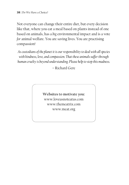Not everyone can change their entire diet, but every decision like that, where you eat a meal based on plants instead of one based on animals, has a *big* environmental impact and is a vote *for* animal welfare. You are saving lives. You are practising compassion!

*As custodians of the planet it is our responsibility to deal with all species with kindness, love, and compassion. That these animals suffer through human cruelty is beyond understanding. Please help to stop this madness.*

– Richard Gere

**Websites to motivate you:**  www.loveusnoteatus.com www.themeatrix.com www.meat.org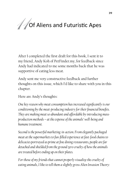## Of Aliens and Futuristic Apes 11

After I completed the first draft for this book, I sent it to my friend, Andy Koh of PetFinder.my, for feedback since Andy had indicated to me some months back that he was supportive of eating less meat.

Andy sent me very constructive feedback and further thoughts on this issue, which I'd like to share with you in this chapter.

Here are Andy's thoughts:

*One key reason why meat consumption has increased significantly is our conditioning by the meat-producing industry for their financial benefits. They are making meat so abundant and affordable by introducing massproduction methods – at the expense of the animals' well-being and humane treatment.*

*Second is the powerful marketing-in-action. From elegantly packaged meat at the supermarkets to fun-filled experience at fast-food chains to delicacies portrayed as prime at fine dining restaurants, people are far detached and shielded from the ground zero cruelty of how the animals are treated before ending up on their plates.*

*For those of my friends that cannot properly visualize the cruelty of eating animals, I like to tell them a slightly gross Alien Invasion Theory:*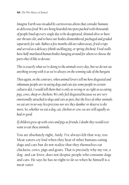*Imagine Earth was invaded by carnivorous aliens that consider humans as delicious food. We are being hoarded into pens packed with thousands of people lined up every single day to be decapitated, skinned alive or have our throats slit, and to have our bodies dismembered, packaged and graded separately for sale. Babies a few months old are taken away, fried crispy and served as a delicacy (think suckling pig, or spring chicken). Food stalls have half-mutilated human bodies hanging around for aliens to choose the parts they'd like to devour.*

*This is exactly what we're doing to the animals every day, but we do not see anything wrong with it as we're always on the winning side of the bargain.*

*Then again, on the contrary, when animal lovers tell me how disgusted and inhumane people are in eating dogs and cats (as some people in certain cultures do), I would tell them that is only as wrong or as right as us eating pigs, cows, sheep or chickens. We only feel disgusted because we are very emotionally attached to dogs and cats as pets, but the lives of other animals we eat are in no way less precious nor are they dumber or deserve to die more. So, whether we eat a dog, cat, chicken or cow, we are still equally as bad or good.* 

*If children grew up with cows and pigs as friends, I doubt they would ever want to eat these animals.* 

You are absolutely right, Andy. I've always felt that way, too. Meat-eaters cry foul when they hear of other humans eating dogs and cats but do not realize that they themselves eat chickens, cows, pigs and goats. That is precisely why my vet, a dog- and cat-lover, does not despise people who consume dogs and cats. He says he has no right to do so when he himself is a meat-eater.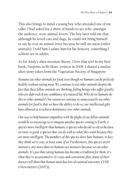This also brings to mind a young boy who attended one of my talks. I had asked for a show of hands to see who, amongst the audience, were animal-lovers. The boy later told me that, although he loved cats and dogs, he could not bring himself to say he was an animal-lover because he still ate meat (other animals). I told him I salute him for his honesty, something I seldom see in adults.

As for Andy's alien invasion theory, I love that too! In my first book, *Pawprints on My Heart,* written in 2008, I shared a similar alien story taken from the Vegetarian Society of Singapore:

*Humans eat other animals for food, even though we humans can be perfectly healthy without eating meat. We continue to eat other animals despite the fact that these fellow animals are thinking, feeling beings who suffer greatly, who are deprived of any semblance of a natural life. Why do we humans do this to other animals? One reason we continue to unnecessarily use other animals for food is that we have the ability to do so; our intellectual gifts have allowed us to achieve dominance over other animals.*

*One way to help humans empathise with the plight of our fellow animals would be to encourage us to imagine another species coming to Earth, a species more intelligent than humans, a species who decide to eat us because we taste so good, a species that can do with us what they want because they are more intelligent. The members of this species don't hate humans; in fact, they think we're cute, at least some of us. Furthermore, this species aren't monsters, any more than we humans are monsters because we eat other animals. It's just that eating humans has become a tradition for them; it's what they're accustomed to. It's easy and convenient, plus, many of their doctors tell them that human meat has lots of essential nutrients.* (VSS eNewsletter (2007)).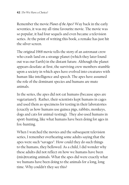Remember the movie *Planet of the Apes*? Way back in the early seventies, it was my all-time favourite movie. The movie was so popular, it had four sequels and even became a television series. At the point of writing this book, a remake has just hit the silver screen.

The original 1968 movie tells the story of an astronaut crew who crash-land on a strange planet (which they later found out was our Earth) in the distant future. Although the planet appears desolate at first, the surviving crew members stumble upon a society in which apes have evolved into creatures with human-like intelligence and speech. The apes have assumed the role of the dominant species and humans are mute animals.

In the series, the apes did not eat humans (because apes are vegetarians!). Rather, their scientists kept humans in cages and used them as specimens for testing in their laboratories (exactly as how humans use guinea pigs, rabbits, monkeys, dogs and cats for animal-testing). They also used humans in sport-hunting, like what humans have been doing for ages in fox-hunting.

When I watched the movies and the subsequent television series, I remember overhearing some adults saying that the apes were such "savages". How could they do such things to the humans, they bellowed. As a child, I did wonder why these adults did not reflect on how we humans have been (mis)treating animals. What the apes did were exactly what we humans have been doing to the animals for a long, long time. Why couldn't they see this?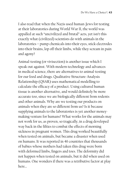I also read that when the Nazis used human-Jews for testing at their laboratories during World War II, the world was appalled at such "uncivilized and brutal" acts, yet isn't this exactly what (civilized) scientists do with animals in the laboratories – pump chemicals into their eyes, stick electrodes into their brains, lop off their limbs, while they scream in pain and agony?

Animal-testing (or vivisection) is another issue which I speak out against. With modern technology and advances in medical science, there are alternatives to animal-testing for our food and drugs. Qualitative Structure-Analysis Relationship (QSAR) uses mathematical modelling to calculate the efficacy of a product. Using cultured human tissue is another alternative, and would definitely be more accurate too, since we are biologically different from rodents and other animals. Why are we testing our products on animals when they are so different from us? Is it because supplying animals to the laboratories is yet another moneymaking venture for humans? What works for the animals may not work for us, as proven, so tragically, in a drug developed way back in the fifties to combat the effects of morning sickness in pregnant women. This drug worked beautifully when tested on animals, but became a disaster when used on humans. It was reported in 46 countries that thousands of babies whose mothers had taken this drug were born with deformed limbs, fingers and toes. The deformity did not happen when tested on animals, but it did when used on humans. One wonders if there was a retributive factor at play here…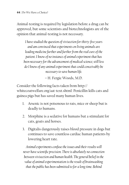Animal-testing is required by legislation before a drug can be approved, but some scientists and biotechnologists are of the opinion that animal-testing is not necessary.

*I have studied the question of vivisection for thirty-five years and am convinced that experiments on living animals are leading medicine further and further from the real cure of the patient. I know of no instance of animal experiment that has been necessary for the advancement of medical science; still less do I know of any animal experiment that could conceivably be necessary to save human life.*

– H. Fergie Woods, M.D.

Consider the following facts taken from http:// whitecoatwelfare.org/aat-text.shtml: Penicillin kills cats and guinea pigs but has saved many human lives.

- 1. Arsenic is not poisonous to rats, mice or sheep but is deadly to humans.
- 2. Morphine is a sedative for humans but a stimulant for cats, goats and horses.
- 3. Digitalis dangerously raises blood pressure in dogs but continues to save countless cardiac human patients by lowering heart rate.

*Animal experiments confuse the issues and their results will never have scientific precision. There is absolutely no connection between vivisection and human health. The general belief in the value of animal experimentation is the result of brainwashing that the public has been submitted to for a long time. Behind*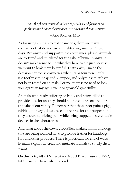*it are the pharmaceutical industries, which spend fortunes on publicity and finance the research institutes and the universities.*

– Arie Brecher, M.D.

As for using animals to test cosmetics, there are many companies that do not use animal-testing anymore these days. Patronize and support these companies, please. Animals are tortured and mutilated for the sake of human vanity. It doesn't make sense to me why they have to die just because we want to look more beautiful. That is why I made the decision not to use cosmetics when I was fourteen. I only use toothpaste, soap and shampoo, and only those that have not been tested on animals. For me, there is no need to look younger than my age. I want to grow old gracefully!

Animals are already suffering so badly and being killed to provide food for us, they should not have to be tortured for the sake of our vanity. Remember that these poor guinea pigs, rabbits, monkeys, dogs and cats are bred for this purpose and they endure agonizing pain while being trapped in stereotaxic devices in the laboratories.

And what about the cows, crocodiles, snakes, minks and dogs that are being skinned alive to provide leather for handbags, furs and other products. There is practically no end of ways humans exploit, ill-treat and mutilate animals to satisfy their wants.

On this note, Albert Schweitzer, Nobel Peace Laureate, 1952, hit the nail on head when he said: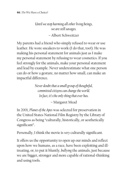*Until we stop harming all other living beings, we are still savages.*

– Albert Schweitzer

My parents had a friend who simply refused to wear or use leather. He wore sneakers to work (I do that, too!). He was making his personal statement for animals just as I make my personal statement by refusing to wear cosmetics. If you feel strongly for the animals, make your personal statement and lead by example. Never underestimate what one person can do or how a gesture, no matter how small, can make an impactful difference.

> *Never doubt that a small group of thoughtful, committed citizens can change the world. In fact, it's the only thing that ever has.*

> > – Margaret Mead

In 2001, *Planet of the Apes* was selected for preservation in the United States National Film Registry by the Library of Congress as being "culturally, historically, or aesthetically significant".

Personally, I think the movie is *very* culturally significant.

It offers us the opportunity to open up our minds and reflect upon how we humans, as a race, have been exploiting and illtreating, or, to put it bluntly, *bullying* the animals, just because we are bigger, stronger and more capable of rational-thinking and using tools.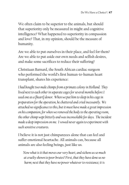We often claim to be superior to the animals, but should that superiority only be measured in might and cognitive intelligence? What happened to superiority in compassion and love? That, in my opinion, should be the measure of humanity.

Are we able to put ourselves in their place, and feel for them? Are we able to put aside our own needs and selfish desires, and make some sacrifices to reduce their suffering?

Christiaan Barnard, the South African cardiac surgeon who performed the world's first human-to-human heart transplant, shares his experience:

*I had bought two male chimps from a primate colony in Holland. They lived next to each other in separate cages for several months before I used one as a [heart] donor. When we put him to sleep in his cage in preparation for the operation, he chattered and cried incessantly. We attached no significance to this, but it must have made a great impression on his companion, for when we removed the body to the operating room, the other chimp wept bitterly and was inconsolable for days. The incident made a deep impression on me. I vowed never again to experiment with such sensitive creatures.*

I believe it is not just chimpanzees alone that can feel and suffer emotional heartache. All animals can, because all animals are also feeling beings, just like us.

*Now what is it that moves our very heart, and sickens us so much at cruelty shown to poor brutes? First, that they have done us no harm; next that they have no power whatever to resistance; it is*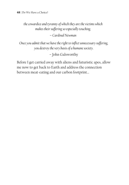*the cowardice and tyranny of which they are the victims which makes their suffering so especially touching.*

– *Cardinal Newman*

*Once you admit that we have the right to inflict unnecessary suffering, you destroy the very basis of a humane society.*

– John Galsworthy

Before I get carried away with aliens and futuristic apes, allow me now to get back to Earth and address the connection between meat-eating and our carbon footprint…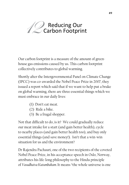

Our carbon footprint is a measure of the amount of greenhouse gas emissions caused by us. This carbon footprint collectively contributes to global warming.

Shortly after the Intergovernmental Panel on Climate Change (IPCC) was co-awarded the Nobel Peace Prize in 2007, they issued a report which said that if we want to help put a brake on global warming, there are three essential things which we must embrace in our daily lives:

- (1) Don't eat meat.
- (2) Ride a bike.
- (3) Be a frugal shopper.

Not that difficult to do, is it? We could gradually reduce our meat intake for a start (and gain better health), cycle to nearby places (and gain better health too), and buy only essential things (and save money!). Isn't that a win-win situation for us and the environment?

Dr Rajendra Pachauri, one of the two recipients of the coveted Nobel Peace Prize, in his acceptance speech in Oslo, Norway, attributes his life-long philosophy to the Hindu principle of *Vasudhaiva Kutumbakam.* It means "the whole universe is one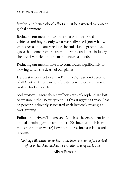family", and hence global efforts must be garnered to protect global commons.

Reducing our meat intake and the use of motorized vehicles, and buying only what we really need (not what we want) *can* significantly reduce the emission of greenhouse gases that come from the animal-farming and meat industry, the use of vehicles and the manufacture of goods.

Reducing our meat intake also contributes significantly to slowing down the death of our planet.

**Deforestation** – Between 1960 and 1985, nearly 40 percent of all Central American rain forests were destroyed to create pasture for beef cattle.

**Soil erosion** – More than 4 million acres of cropland are lost to erosion in the US every year. Of this staggering topsoil loss, 85 percent is directly associated with livestock raising, i.e. over-grazing.

**Pollution of rivers/lakes/seas** – Much of the excrement from animal farming (which amounts to 20 times as much faecal matter as human waste) flows unfiltered into our lakes and streams.

*Nothing will benefit human health and increase chances for survival of life on Earth as much as the evolution to a vegetarian diet.*

– Albert Einstein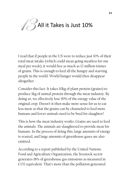## All it Takes is Just 10% 13

I read that if people in the US were to reduce just 10% of their total meat intake (which could mean going meatless for one meal per week), it would free as much as 12 million tonnes of grains. This is enough to feed all the hungry and starving people in the world. World hunger would then disappear altogether.

Consider this fact: It takes 10kg of plant protein (grains) to produce 1kg of animal protein through the meat industry. By doing so, we effectively lose 90% of the energy value of the original crop. Doesn't it then make more sense for us to eat less meat so that the grains can be channeled to feed more humans and fewer animals need to be bred for slaughter?

This is how the meat industry works: Grains are used to feed the animals. The animals are slaughtered to provide meat for humans. In the process of doing this, large amounts of energy is wasted, and large amounts of greenhouse gases are also emitted.

According to a report published by the United Nations Food and Agriculture Organization, the livestock sector generates 18% of greenhouse gas emissions as measured in CO2 equivalent. That's more than the pollution generated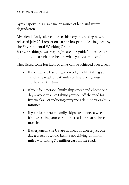by transport. It is also a major source of land and water degradation.

My friend, Andy, alerted me to this very interesting newly released July 2011 report on carbon footprint of eating meat by the Environmental Working Group:

http://breakingnews.ewg.org/meateatersguide/a-meat-eatersguide-to-climate-change-health-what-you-eat-matters/

They listed some fun facts of what can be achieved over a year:

- If you eat one less burger a week, it's like taking your car off the road for 320 miles or line-drying your clothes half the time.
- If your four-person family skips meat and cheese one day a week, it's like taking your car off the road for five weeks – or reducing everyone's daily showers by 3 minutes.
- If your four-person family skips steak once a week, it's like taking your car off the road for nearly three months.
- If everyone in the US ate no meat or cheese just one day a week, it would be like not driving 91 billion miles – or taking 7.6 million cars off the road.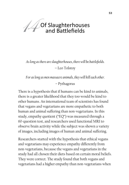

*As long as there are slaughterhouses, there will be battlefields.*

– Leo Tolstoy

*For as long as men massacre animals, they will kill each other.*

– Pythagoras

There is a hypothesis that if humans can be kind to animals, there is a greater likelihood that they too would be kind to other humans. An international team of scientists has found that vegans and vegetarians are more empathetic to both human and animal suffering than non-vegetarians. In this study, empathy quotient ("EQ") was measured through a 60-question test, and researchers used functional MRI to observe brain activity while the subject was shown a variety of images, including images of human and animal suffering.

Researchers started with the hypothesis that ethical vegans and vegetarians may experience empathy differently from non-vegetarians, because the vegans and vegetarians in the study had all chosen their diets based on certain moral beliefs. They were correct. The study found that both vegans and vegetarians had a higher empathy than non-vegetarians when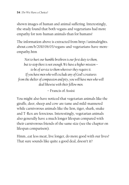shown images of human and animal suffering. Interestingly, the study found that both vegans and vegetarians had more empathy for non-human animals than for humans!

The information above is extracted from http://animalrights. about.com/b/2010/06/03/vegans-and-vegetarians-have-moreempathy.htm

*Not to hurt our humble brethren is our first duty to them, but to stop there is not enough. We have a higher mission – to be of service to them wherever they require it. If you have men who will exclude any of God's creatures from the shelter of compassion and pity, you will have men who will deal likewise with their fellow men.*

– Francis of Assisi

You might also have noticed that vegetarian animals like the giraffe, deer, sheep and cow are tame and mild-mannered while carnivorous animals like the lion, tiger, shark, snake and T-Rex are ferocious. Interestingly, vegetarian animals also generally have a much longer lifespan compared with their carnivorous friends of the same size (see the chapter on lifespan comparison).

Hmm…eat less meat, live longer, do more good with our lives? That sure sounds like quite a good deal, doesn't it?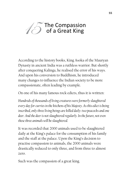### The Compassion of a Great King 15

According to the history books, King Asoka of the Mauryan Dynasty in ancient India was a ruthless warrior. But shortly after conquering Kalinga, he realised the error of his ways. And upon his conversion to Buddhism, he introduced many changes to influence the Indian society to be more compassionate, often leading by example.

On one of his many famous rock edicts, thus it is written:

*Hundreds of thousands of living creatures were formerly slaughtered every day for curries in the kitchens of his Majesty. As this edict is being inscribed, only three living beings are killed daily: two peacocks and one deer. And the deer is not slaughtered regularly. In the future, not even these three animals will be slaughtered.*

It was recorded that 2000 animals used to be slaughtered daily at the King's palace for the consumption of his family and the staff at the palace. Upon the King's decision to practise compassion to animals, the 2000 animals were drastically reduced to only three, and from three to almost zero.

Such was the compassion of a great king.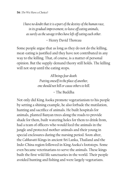*I have no doubt that it is a part of the destiny of the human race, in its gradual improvement, to leave off eating animals, as surely as the savage tribes have left off eating each other.*

### – Henry David Thoreau

Some people argue that as long as they do not do the killing, meat-eating is justified and they have not contributed in any way to the killing. That, of course, is a matter of personal opinion. But the supply-demand theory still holds. The killing will not stop until the eating stops.

> *All beings fear death. Putting oneself in the place of another, one should not kill or cause others to kill.*

### – The Buddha

Not only did King Asoka promote vegetarianism to his people by setting a shining example, he also forbade the mutilation, hunting and sacrifice of animals. He built hospitals for animals, planted Banyan trees along the roads to provide shade for them, built watering holes for them to drink from, had a team of officers who would feed the animals in the jungle and protected mother-animals and their young in special enclosures during the nursing period. Soon after, the *Cakkavatti* Kings in ancient Sri Lanka, Thailand and the Indo-China region followed in King Asoka's footsteps. Some even became veterinarians to serve the animals. These kings built the first wild life sanctuaries in the world. Their people avoided hunting and fishing and were largely vegetarians.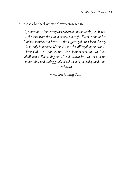All these changed when colonization set in.

*If you want to know why there are wars in the world, just listen to the cries from the slaughterhouse at night. Eating animals for food has numbed our hearts to the suffering of other living beings. It is truly inhumane. We must cease the killing of animals and cherish all lives---not just the lives of human beings but the lives of all beings. Everything has a life of its own, be it the trees or the mountains, and taking good care of them in fact safeguards our own health.* 

– Master Cheng Yan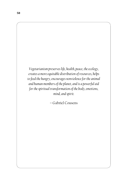*Vegetarianism preserves life, health, peace, the ecology, creates a more equitable distribution of resources, helps to feed the hungry, encourages nonviolence for the animal and human members of the planet, and is a powerful aid for the spiritual transformation of the body, emotions, mind, and spirit.* 

– Gabriel Cousens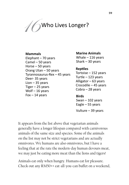

#### **Mammals**

Elephant – 70 years Camel – 50 years Horse – 50 years Orang Utan – 50 years Tyrannosaurus-Rex – 45 years Deer- 35 years Lion – 35 years Tiger – 25 years Wolf – 16 years  $Fox - 14 \text{ years}$  **Birds** 

### **Marine Animals**  Whale – 116 years Shark – 30 years

### **Reptiles**

Tortoise – 152 years Turtle – 123 years Alligator – 63 years Crocodile – 45 years Cobra – 28 years

Swan – 102 years Eagle – 55 years

Vulture – 39 years

It appears from the list above that vegetarian animals generally have a longer lifespan compared with carnivorous animals of the same size and species. Some of the animals on the list may not be strict vegetarians and are actually omnivores. We humans are also omnivores, but I have a feeling that at the rate the modern-day human devours meat, we may just be eating more meat than the lions and tigers!

Animals eat only when hungry. Humans eat for pleasure. Check out any RM50++ eat-all-you-can buffet on a weekend,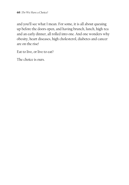and you'll see what I mean. For some, it is all about queuing up before the doors open, and having brunch, lunch, high-tea and an early dinner, all rolled into one. And one wonders why obesity, heart diseases, high cholesterol, diabetes and cancer are on the rise!

Eat to live, or live to eat?

The choice is ours.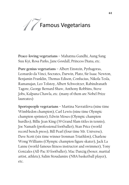

**Peace-loving vegetarians** – Mahatma Gandhi, Aung Sang Suu Kyi, Rosa Parks, Jane Goodall, Princess Diana, etc.

**Pure genius vegetarians** – Albert Einstein, Pythagoras, Leonardo da Vinci, Socrates, Darwin, Plato, Sir Isaac Newton, Benjamin Franklin, Thomas Edison, Confucius, Nikola Tesla, Ramanujan, Leo Tolstoy, Albert Schweitzer, Rabindranath Tagore, George Bernard Shaw, Anthony Robbins, Steve Jobs, Kalpana Chawla, etc. (many of them are Nobel Prize laureates)

**Sportspeople vegetarians** – Martina Navratilova (nine time Wimbledon champion), Carl Lewis (nine time Olympic champion sprinter), Edwin Moses (Olympic champion hurdles), Billie Jean King (39 Grand Slam titles in tennis), Joe Namath (professional footballer), Stan Price (world record bench press), Bill Pearl (four time Mr. Universe), Dave Scott (six time winner Ironman Triathlon), Charlene Wong Williams (Olympic champion figure skater), Jack La Lanne (world-famous fitness instructor and swimmer), Tony Gonzales (All-Pac 10 footballer), Mac Danzig (boxer, martial artist, athlete), Salim Stoudamire (NBA basketball player), etc.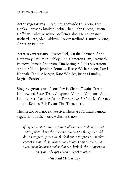**Actor vegetarians –** Brad Pitt, Leonardo DiCaprio, Tom Hanks, Forest Whitaker, Jackie Chan, John Cleese, Dustin Hoffman, Tobey Maguire, Willem Dafoe, Pierce Brosnan, Richard Gere, Alec Baldwin, Robert Redford, Danny De Vito, Christian Bale, etc.

**Actress vegetarians –** Jessica Biel, Natalie Portman, Anne Hathaway, Liv Tyler, Ashley Judd, Cameron Diaz, Gwyneth Paltrow, Pamela Anderson, Kim Basinger, Alicia Silverstone, Alyssa Milano, Jennifer Connelly, Reese Witherspoon, Daryl Hannah, Candice Bergen, Kate Winslet, Joanna Lumley, Brigitte Bardot, etc.

**Singer vegetarians –** Leona Lewis, Shania Twain, Carrie Underwood, Sade, Tracy Chapman, Vanessa Williams, Annie Lennox, Avril Lavigne, Justin Timberlake, Sir Paul McCartney and the Beatles, Bob Dylan, Tina Turner, etc.

The list above is not exhaustive. There are SO many famous vegetarians in the world – then and now.

*If anyone wants to save the planet, all they have to do is just stop eating meat. That's the single most important thing you could do. It's staggering when you think about it. Vegetarianism takes care of so many things in one shot: ecology, famine, cruelty. I am a vegetarian because I realise that even little chickens suffer pain and fear and experience a range of emotions.* 

– Sir Paul McCartney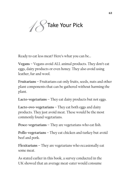Take Your Pick 18

Ready to eat less meat? Here's what you can be…

**Vegans –** Vegans avoid ALL animal products. They don't eat eggs, dairy products or even honey. They also avoid using leather, fur and wool.

**Fruitarians –** Fruitarians eat only fruits, seeds, nuts and other plant components that can be gathered without harming the plant.

**Lacto-vegetarians –** They eat dairy products but not eggs.

**Lacto-ovo-vegetarians –** They eat both eggs and dairy products. They just avoid meat. These would be the most commonly found vegetarians.

**Pesce-vegetarians –** They are vegetarians who eat fish.

**Pollo-vegetarians –** They eat chicken and turkey but avoid beef and pork.

**Flexitarians –** They are vegetarians who occasionally eat some meat.

As stated earlier in this book, a survey conducted in the UK showed that an average meat-eater would consume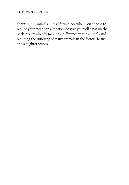about 11,000 animals in his lifetime. So, when you choose to reduce your meat consumption, do give yourself a pat on the back. You're already making a difference to the animals and reducing the suffering of many animals in the factory farms and slaughterhouses.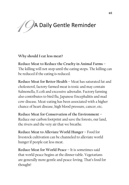# A Daily Gentle Reminder 19

**Why should I eat less meat?**

**Reduce Meat to Reduce the Cruelty in Animal Farms –**  The killing will not stop until the eating stops. The killing can be reduced if the eating is reduced.

**Reduce Meat for Better Health –** Meat has saturated fat and cholesterol, factory-farmed meat is toxic and may contain Salmonella, E.coli and excessive adrenalin. Factory farming also contributes to bird flu, Japanese Encephalitis and mad cow disease. Meat-eating has been associated with a higher chance of heart disease, high blood pressure, cancer, etc.

**Reduce Meat for Conservation of the Environment –**  Reduce our carbon footprint and save the forests, our land, the rivers and the very air that we breathe.

**Reduce Meat to Alleviate World Hunger –** Food for livestock cultivation can be channeled to alleviate world hunger if people eat less meat.

**Reduce Meat for World Peace –** It is sometimes said that world peace begins at the dinner table. Vegetarians are generally more gentle and peace-loving. That's food for thought!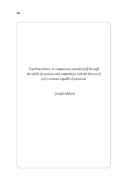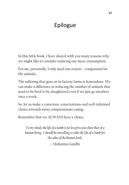# Epilogue

In this little book, I have shared with you many reasons why we might like to consider reducing our meat consumption.

For me, personally, I only need one reason – compassion for the animals.

The suffering that goes on in factory farms is horrendous. We can make a difference in reducing the number of animals that need to be bred to be slaughtered even if we just go meatless once a week.

So, let us make a conscious, conscientious and well-informed choice towards more compassionate eating.

Remember that we ALWAYS have a choice.

*To my mind, the life of a lamb is no less precious than that of a human being. I should be unwilling to take the life of a lamb for the sake of the human body.*

– Mahatma Gandhi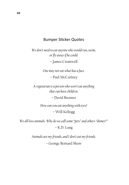### Bumper Sticker Quotes

*We don't need to eat anyone who would run, swim, or fly away if he could.*

– James Cromwell

*One may not eat what has a face.*

– Paul McCartney

*A vegetarian is a person who won't eat anything that can have children.*

– David Brenner

*How can you eat anything with eyes?* – Will Kellogg

*We all love animals. Why do we call some "pets" and others "dinner?"*

– K.D. Lang

*Animals are my friends, and I don't eat my friends.*

– George Bernard Shaw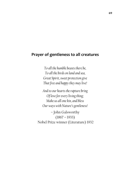#### **Prayer of gentleness to all creatures**

*To all the humble beasts there be, To all the birds on land and sea, Great Spirit, sweet protection give That free and happy they may live!*

*And to our hearts the rapture bring Of love for every living thing; Make us all one kin, and bless Our ways with Nature's gentleness!*

– John Galsworthy  $(1867 - 1933)$ Nobel Prize winner (Literature) 1932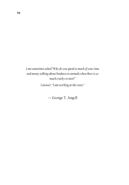*I am sometimes asked "Why do you spend so much of your time and money talking about kindness to animals when there is so much cruelty to men?"* 

*I answer: "I am working at the roots."*

— George T. Angell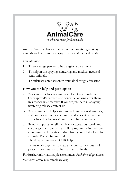

AnimalCare is a charity that promotes caregiving to stray animals and helps in their spay-neuter and medical needs.

#### **Our Mission**

- 1. To encourage people to be caregivers to animals.
- 2. To help in the spaying-neutering and medical needs of stray animals.
- 3. To cultivate compassion to animals through education

#### **How you can help and participate:**

- a. Be a caregiver to stray animals feed the animals, get them spayed/neutered and continue looking after them in a responsible manner. If you require help in spaying/ neutering, please contact us.
- b. Be a volunteer help foster and rehome rescued animals, and contribute your expertise and skills so that we can work together to provide more help to the animals.
- c. Be our supporter tell your friends about our work and encourage them to start a similar programme in their own communities. Educate children from young to be kind to animals. Donate to our fund. The stray animals need OUR help.

Let us work together to create a more harmonious and peaceful community for humans and animals.

For further information, please contact: *chankahyein@gmail.com*

Website: www.myanimalcare.org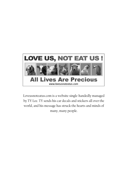

Loveusnoteatus.com is a website single-handedly managed by TY Lee. TY sends his car decals and stickers all over the world, and his message has struck the hearts and minds of many, many people.